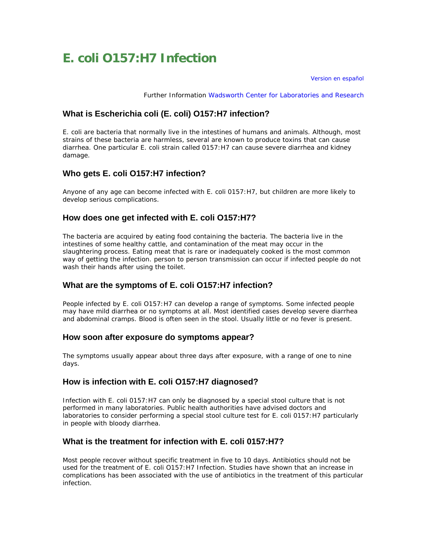# **E. coli O157:H7 Infection**

[Version en español](http://www.health.state.ny.us/es/disease/communicable/ecoli.htm)

Further Information [Wadsworth Center for Laboratories and Research](http://www.wadsworth.org/databank/ecoli.htm)

## **What is Escherichia coli (E. coli) O157:H7 infection?**

E. coli are bacteria that normally live in the intestines of humans and animals. Although, most strains of these bacteria are harmless, several are known to produce toxins that can cause diarrhea. One particular E. coli strain called 0157:H7 can cause severe diarrhea and kidney damage.

## **Who gets E. coli O157:H7 infection?**

Anyone of any age can become infected with E. coli 0157:H7, but children are more likely to develop serious complications.

## **How does one get infected with E. coli O157:H7?**

The bacteria are acquired by eating food containing the bacteria. The bacteria live in the intestines of some healthy cattle, and contamination of the meat may occur in the slaughtering process. Eating meat that is rare or inadequately cooked is the most common way of getting the infection. person to person transmission can occur if infected people do not wash their hands after using the toilet.

## **What are the symptoms of E. coli O157:H7 infection?**

People infected by E. coli O157:H7 can develop a range of symptoms. Some infected people may have mild diarrhea or no symptoms at all. Most identified cases develop severe diarrhea and abdominal cramps. Blood is often seen in the stool. Usually little or no fever is present.

#### **How soon after exposure do symptoms appear?**

The symptoms usually appear about three days after exposure, with a range of one to nine days.

## **How is infection with E. coli O157:H7 diagnosed?**

Infection with E. coli 0157:H7 can only be diagnosed by a special stool culture that is not performed in many laboratories. Public health authorities have advised doctors and laboratories to consider performing a special stool culture test for E. coli 0157:H7 particularly in people with bloody diarrhea.

## **What is the treatment for infection with E. coli 0157:H7?**

Most people recover without specific treatment in five to 10 days. Antibiotics should not be used for the treatment of E. coli O157:H7 Infection. Studies have shown that an increase in complications has been associated with the use of antibiotics in the treatment of this particular infection.